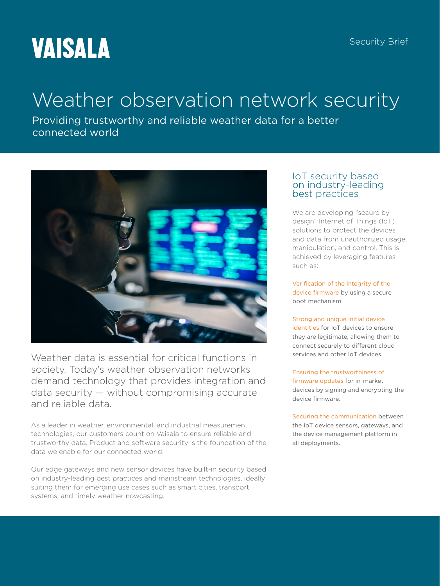# **VAISALA**

# Weather observation network security

Providing trustworthy and reliable weather data for a better connected world



Weather data is essential for critical functions in society. Today's weather observation networks demand technology that provides integration and data security — without compromising accurate and reliable data.

As a leader in weather, environmental, and industrial measurement technologies, our customers count on Vaisala to ensure reliable and trustworthy data. Product and software security is the foundation of the data we enable for our connected world.

Our edge gateways and new sensor devices have built-in security based on industry-leading best practices and mainstream technologies, ideally suiting them for emerging use cases such as smart cities, transport systems, and timely weather nowcasting.

### IoT security based on industry-leading best practices

We are developing "secure by design" Internet of Things (IoT) solutions to protect the devices and data from unauthorized usage, manipulation, and control. This is achieved by leveraging features such as:

Verification of the integrity of the device firmware by using a secure boot mechanism.

#### Strong and unique initial device

identities for IoT devices to ensure they are legitimate, allowing them to connect securely to different cloud services and other IoT devices.

#### Ensuring the trustworthiness of

firmware updates for in-market devices by signing and encrypting the device firmware.

Securing the communication between the IoT device sensors, gateways, and the device management platform in all deployments.